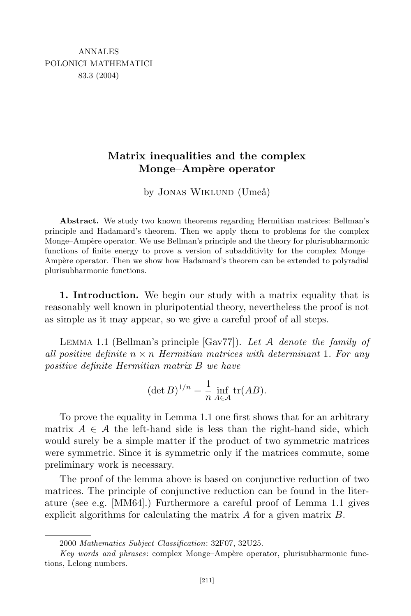## **Matrix inequalities and the complex Monge–Amp`ere operator**

by JONAS WIKLUND (Umeå)

**Abstract.** We study two known theorems regarding Hermitian matrices: Bellman's principle and Hadamard's theorem. Then we apply them to problems for the complex Monge–Ampère operator. We use Bellman's principle and the theory for plurisubharmonic functions of finite energy to prove a version of subadditivity for the complex Monge– Ampère operator. Then we show how Hadamard's theorem can be extended to polyradial plurisubharmonic functions.

**1. Introduction.** We begin our study with a matrix equality that is reasonably well known in pluripotential theory, nevertheless the proof is not as simple as it may appear, so we give a careful proof of all steps.

Lemma 1.1 (Bellman's principle [Gav77]). *Let* A *denote the family of all positive definite n × n Hermitian matrices with determinant* 1*. For any positive definite Hermitian matrix B we have*

$$
(\det B)^{1/n} = \frac{1}{n} \inf_{A \in \mathcal{A}} \text{tr}(AB).
$$

To prove the equality in Lemma 1.1 one first shows that for an arbitrary matrix  $A \in \mathcal{A}$  the left-hand side is less than the right-hand side, which would surely be a simple matter if the product of two symmetric matrices were symmetric. Since it is symmetric only if the matrices commute, some preliminary work is necessary.

The proof of the lemma above is based on conjunctive reduction of two matrices. The principle of conjunctive reduction can be found in the literature (see e.g. [MM64].) Furthermore a careful proof of Lemma 1.1 gives explicit algorithms for calculating the matrix *A* for a given matrix *B.*

<sup>2000</sup> *Mathematics Subject Classification*: 32F07, 32U25.

*Key words and phrases:* complex Monge–Ampère operator, plurisubharmonic functions, Lelong numbers.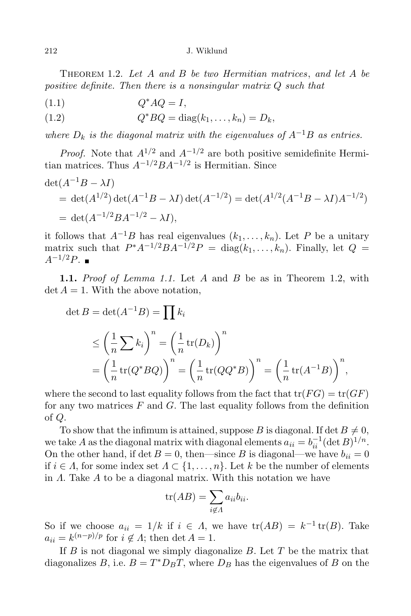212 J. Wiklund

Theorem 1.2. *Let A and B be two Hermitian matrices*, *and let A be positive definite. Then there is a nonsingular matrix Q such that*

$$
(1.1) \tQ^*AQ = I,
$$

(1.2)  $Q^*BQ = \text{diag}(k_1, \ldots, k_n) = D_k,$ 

*where*  $D_k$  *is the diagonal matrix with the eigenvalues of*  $A^{-1}B$  *as entries.* 

*Proof.* Note that  $A^{1/2}$  and  $A^{-1/2}$  are both positive semidefinite Hermitian matrices. Thus *A−*1*/*2*BA−*1*/*<sup>2</sup> is Hermitian. Since

$$
det(A^{-1}B - \lambda I)
$$
  
= det(A<sup>1/2</sup>) det(A<sup>-1</sup>B - \lambda I) det(A<sup>-1/2</sup>) = det(A<sup>1/2</sup>(A<sup>-1</sup>B - \lambda I)A<sup>-1/2</sup>)  
= det(A<sup>-1/2</sup>BA<sup>-1/2</sup> - \lambda I),

it follows that  $A^{-1}B$  has real eigenvalues  $(k_1, \ldots, k_n)$ . Let P be a unitary matrix such that  $P^*A^{-1/2}BA^{-1/2}P = \text{diag}(k_1,\ldots,k_n)$ . Finally, let  $Q =$ *A*<sup>−1/2</sup>*P*. ■

**1.1.** *Proof of Lemma 1.1.* Let *A* and *B* be as in Theorem 1.2, with  $\det A = 1$ . With the above notation,

$$
\det B = \det(A^{-1}B) = \prod k_i
$$
  
\n
$$
\leq \left(\frac{1}{n}\sum k_i\right)^n = \left(\frac{1}{n}\operatorname{tr}(D_k)\right)^n
$$
  
\n
$$
= \left(\frac{1}{n}\operatorname{tr}(Q^*BQ)\right)^n = \left(\frac{1}{n}\operatorname{tr}(QQ^*B)\right)^n = \left(\frac{1}{n}\operatorname{tr}(A^{-1}B)\right)^n,
$$

where the second to last equality follows from the fact that  $tr(FG) = tr(GF)$ for any two matrices *F* and *G*. The last equality follows from the definition of *Q.*

To show that the infimum is attained, suppose *B* is diagonal. If det  $B \neq 0$ , we take *A* as the diagonal matrix with diagonal elements  $a_{ii} = b_{ii}^{-1} (\det B)^{1/n}$ . On the other hand, if det  $B = 0$ , then—since *B* is diagonal—we have  $b_{ii} = 0$ if *i*  $\in$  *Λ*, for some index set  $\Lambda$  ⊂  $\{1, \ldots, n\}$ . Let *k* be the number of elements in *Λ.* Take *A* to be a diagonal matrix. With this notation we have

$$
\operatorname{tr}(AB) = \sum_{i \notin \Lambda} a_{ii} b_{ii}.
$$

So if we choose  $a_{ii} = 1/k$  if  $i \in \Lambda$ , we have  $tr(AB) = k^{-1} tr(B)$ . Take  $a_{ii} = k^{(n-p)/p}$  for  $i \notin \Lambda$ ; then det  $A = 1$ .

If *B* is not diagonal we simply diagonalize *B.* Let *T* be the matrix that diagonalizes *B*, i.e.  $B = T^* D_B T$ , where  $D_B$  has the eigenvalues of *B* on the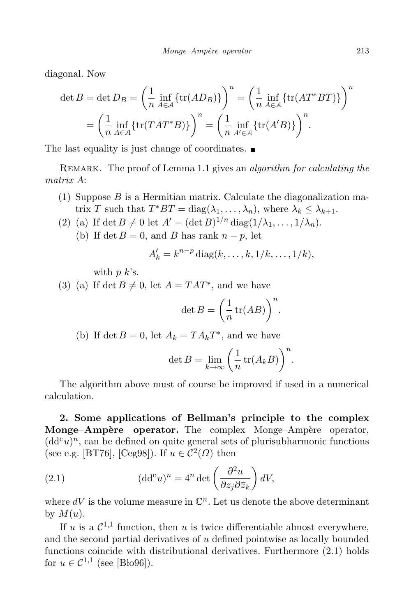diagonal. Now

$$
\det B = \det D_B = \left(\frac{1}{n} \inf_{A \in \mathcal{A}} \{tr(AD_B)\}\right)^n = \left(\frac{1}{n} \inf_{A \in \mathcal{A}} \{tr(AT^*BT)\}\right)^n
$$

$$
= \left(\frac{1}{n} \inf_{A \in \mathcal{A}} \{tr(TAT^*B)\}\right)^n = \left(\frac{1}{n} \inf_{A' \in \mathcal{A}} \{tr(A'B)\}\right)^n.
$$

The last equality is just change of coordinates.  $\blacksquare$ 

Remark. The proof of Lemma 1.1 gives an *algorithm for calculating the matrix A*:

- (1) Suppose *B* is a Hermitian matrix. Calculate the diagonalization matrix *T* such that  $T^*BT = \text{diag}(\lambda_1, \ldots, \lambda_n)$ , where  $\lambda_k \leq \lambda_{k+1}$ .
- (2) (a) If det  $B \neq 0$  let  $A' = (\det B)^{1/n} \operatorname{diag}(1/\lambda_1, \ldots, 1/\lambda_n)$ .
	- (b) If det  $B = 0$ , and *B* has rank  $n p$ , let

$$
A'_{k} = k^{n-p} \operatorname{diag}(k, \ldots, k, 1/k, \ldots, 1/k),
$$

with *p k*'s.

(3) (a) If det  $B \neq 0$ , let  $A = TAT^*$ , and we have

$$
\det B = \left(\frac{1}{n}\operatorname{tr}(AB)\right)^n.
$$

(b) If det  $B = 0$ , let  $A_k = TA_kT^*$ , and we have

$$
\det B = \lim_{k \to \infty} \left( \frac{1}{n} \operatorname{tr} (A_k B) \right)^n.
$$

The algorithm above must of course be improved if used in a numerical calculation.

**2. Some applications of Bellman's principle to the complex Monge–Ampère operator.** The complex Monge–Ampère operator,  $(dd^c u)^n$ , can be defined on quite general sets of plurisubharmonic functions (see e.g. [BT76], [Ceg98]). If  $u \in C^2(\Omega)$  then

(2.1) 
$$
(\mathrm{d} \mathrm{d}^c u)^n = 4^n \det \left( \frac{\partial^2 u}{\partial z_j \partial \overline{z}_k} \right) dV,
$$

where  $dV$  is the volume measure in  $\mathbb{C}^n$ . Let us denote the above determinant by  $M(u)$ .

If *u* is a  $C^{1,1}$  function, then *u* is twice differentiable almost everywhere, and the second partial derivatives of *u* defined pointwise as locally bounded functions coincide with distributional derivatives. Furthermore (2.1) holds for  $u \in C^{1,1}$  (see [Blo96]).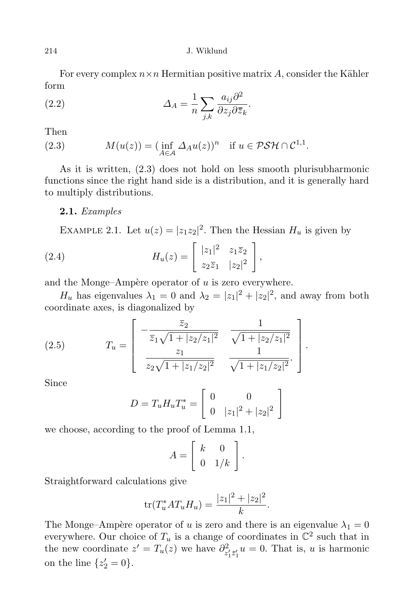214 J. Wiklund

For every complex  $n \times n$  Hermitian positive matrix A, consider the Kähler form

(2.2) 
$$
\Delta_A = \frac{1}{n} \sum_{j,k} \frac{a_{ij} \partial^2}{\partial z_j \partial \overline{z}_k}.
$$

Then

(2.3) 
$$
M(u(z)) = (\inf_{A \in \mathcal{A}} \Delta_A u(z))^n \text{ if } u \in \mathcal{PSH} \cap \mathcal{C}^{1,1}.
$$

As it is written, (2.3) does not hold on less smooth plurisubharmonic functions since the right hand side is a distribution, and it is generally hard to multiply distributions.

## **2.1.** *Examples*

EXAMPLE 2.1. Let  $u(z) = |z_1 z_2|^2$ . Then the Hessian  $H_u$  is given by

(2.4) 
$$
H_u(z) = \begin{bmatrix} |z_1|^2 & z_1 \overline{z}_2 \\ z_2 \overline{z}_1 & |z_2|^2 \end{bmatrix},
$$

and the Monge–Ampère operator of  $u$  is zero everywhere.

*H<sub>u</sub>* has eigenvalues  $\lambda_1 = 0$  and  $\lambda_2 = |z_1|^2 + |z_2|^2$ , and away from both coordinate axes, is diagonalized by

(2.5) 
$$
T_u = \begin{bmatrix} -\frac{\overline{z}_2}{\overline{z}_1\sqrt{1+|z_2/z_1|^2}} & \frac{1}{\sqrt{1+|z_2/z_1|^2}} \\ \frac{z_1}{z_2\sqrt{1+|z_1/z_2|^2}} & \frac{1}{\sqrt{1+|z_1/z_2|^2}}. \end{bmatrix}.
$$

Since

$$
D = T_u H_u T_u^* = \begin{bmatrix} 0 & 0 \\ 0 & |z_1|^2 + |z_2|^2 \end{bmatrix}
$$

we choose, according to the proof of Lemma 1.1,

$$
A = \left[ \begin{array}{cc} k & 0 \\ 0 & 1/k \end{array} \right].
$$

Straightforward calculations give

$$
\text{tr}(T_u^*AT_uH_u) = \frac{|z_1|^2 + |z_2|^2}{k}.
$$

The Monge–Ampère operator of *u* is zero and there is an eigenvalue  $\lambda_1 = 0$ everywhere. Our choice of  $T_u$  is a change of coordinates in  $\mathbb{C}^2$  such that in the new coordinate  $z' = T_u(z)$  we have  $\partial_z^2$  $z_1^2 z_2 u = 0$ . That is, *u* is harmonic on the line  $\{z'_2 = 0\}$ .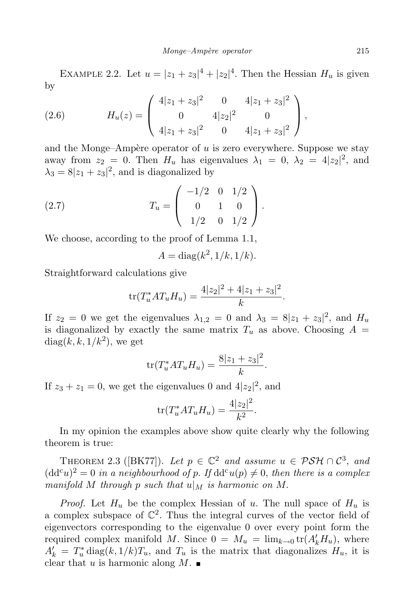EXAMPLE 2.2. Let  $u = |z_1 + z_3|^4 + |z_2|^4$ . Then the Hessian  $H_u$  is given by

(2.6) 
$$
H_u(z) = \begin{pmatrix} 4|z_1 + z_3|^2 & 0 & 4|z_1 + z_3|^2 \\ 0 & 4|z_2|^2 & 0 \\ 4|z_1 + z_3|^2 & 0 & 4|z_1 + z_3|^2 \end{pmatrix},
$$

and the Monge–Ampère operator of  $u$  is zero everywhere. Suppose we stay away from  $z_2 = 0$ . Then  $H_u$  has eigenvalues  $\lambda_1 = 0$ ,  $\lambda_2 = 4|z_2|^2$ , and  $\lambda_3 = 8|z_1 + z_3|^2$ , and is diagonalized by

(2.7) 
$$
T_u = \begin{pmatrix} -1/2 & 0 & 1/2 \\ 0 & 1 & 0 \\ 1/2 & 0 & 1/2 \end{pmatrix}.
$$

We choose, according to the proof of Lemma 1.1,

$$
A = \operatorname{diag}(k^2, 1/k, 1/k).
$$

Straightforward calculations give

$$
\text{tr}(T_u^*AT_uH_u) = \frac{4|z_2|^2 + 4|z_1 + z_3|^2}{k}.
$$

If  $z_2 = 0$  we get the eigenvalues  $\lambda_{1,2} = 0$  and  $\lambda_3 = 8|z_1 + z_3|^2$ , and  $H_u$ is diagonalized by exactly the same matrix  $T_u$  as above. Choosing  $A =$  $diag(k, k, 1/k<sup>2</sup>)$ , we get

$$
\text{tr}(T_u^* A T_u H_u) = \frac{8|z_1 + z_3|^2}{k}.
$$

If  $z_3 + z_1 = 0$ , we get the eigenvalues 0 and  $4|z_2|^2$ , and

$$
\text{tr}(T_u^* A T_u H_u) = \frac{4|z_2|^2}{k^2}.
$$

In my opinion the examples above show quite clearly why the following theorem is true:

THEOREM 2.3 ([BK77]). Let  $p \in \mathbb{C}^2$  and assume  $u \in \mathcal{PSH} \cap \mathcal{C}^3$ , and  $(dd^c u)^2 = 0$  *in a neighbourhood of p. If*  $dd^c u(p) \neq 0$ *, then there is a complex manifold M through p such that*  $u|_M$  *is harmonic on M*.

*Proof.* Let  $H_u$  be the complex Hessian of *u*. The null space of  $H_u$  is a complex subspace of  $\mathbb{C}^2$ . Thus the integral curves of the vector field of eigenvectors corresponding to the eigenvalue 0 over every point form the required complex manifold *M*. Since  $0 = M_u = \lim_{k \to 0} tr(A'_k H_u)$ , where  $A'_k = T^*_u \operatorname{diag}(k, 1/k)T_u$ , and  $T_u$  is the matrix that diagonalizes  $H_u$ , it is clear that *u* is harmonic along  $M$ .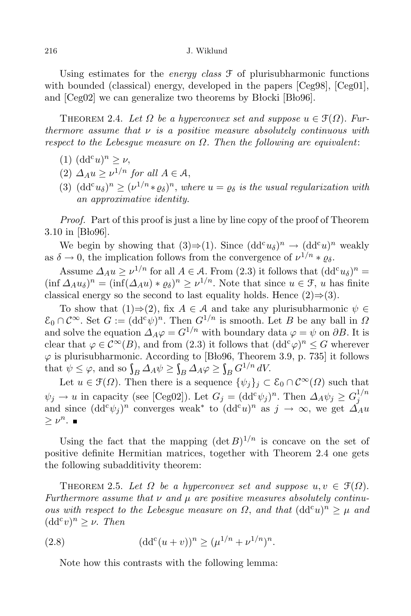Using estimates for the *energy class* F of plurisubharmonic functions with bounded (classical) energy, developed in the papers [Ceg98], [Ceg01], and  $[Ceg02]$  we can generalize two theorems by Blocki  $[B\alpha 96]$ .

THEOREM 2.4. Let  $\Omega$  be a hyperconvex set and suppose  $u \in \mathcal{F}(\Omega)$ . Fur*thermore assume that ν is a positive measure absolutely continuous with respect to the Lebesgue measure on Ω. Then the following are equivalent*:

- $(d d^c u)^n \geq \nu,$
- (2)  $\Delta_A u \ge \nu^{1/n}$  for all  $A \in \mathcal{A}$ ,
- (3)  $(\text{dd}^c u_\delta)^n \geq (\nu^{1/n} * \varrho_\delta)^n$ , where  $u = \varrho_\delta$  is the usual regularization with *an approximative identity.*

*Proof.* Part of this proof is just a line by line copy of the proof of Theorem  $3.10$  in [Blo96].

We begin by showing that  $(3) \Rightarrow (1)$ . Since  $(dd^c u_{\delta})^n \rightarrow (dd^c u)^n$  weakly as  $\delta \to 0$ , the implication follows from the convergence of  $\nu^{1/n} * \varrho_{\delta}$ .

Assume  $\Delta_A u \geq \nu^{1/n}$  for all  $A \in \mathcal{A}$ . From (2.3) it follows that  $(dd^c u_{\delta})^n =$  $(\inf \Delta_A u_\delta)^n = (\inf (\Delta_A u) * \varrho_\delta)^n \geq \nu^{1/n}$ . Note that since  $u \in \mathcal{F}$ , *u* has finite classical energy so the second to last equality holds. Hence  $(2) \Rightarrow (3)$ .

To show that  $(1) \Rightarrow (2)$ , fix  $A \in \mathcal{A}$  and take any plurisubharmonic  $\psi \in$  $\mathcal{E}_0 \cap \mathcal{C}^{\infty}$ . Set  $G := (\mathrm{dd}^c \psi)^n$ . Then  $G^{1/n}$  is smooth. Let *B* be any ball in  $\Omega$ and solve the equation  $\Delta_A \varphi = G^{1/n}$  with boundary data  $\varphi = \psi$  on  $\partial B$ . It is clear that  $\varphi \in C^{\infty}(B)$ , and from (2.3) it follows that  $(dd^{c}\varphi)^{n} \leq G$  wherever  $\varphi$  is plurisubharmonic. According to [Blo96, Theorem 3.9, p. 735] it follows that  $\psi \leq \varphi$ , and so  $\int_B \Delta_A \psi \geq \int_B \Delta_A \varphi \geq \int_B G^{1/n} dV$ .

Let  $u \in \mathcal{F}(\Omega)$ . Then there is a sequence  $\{\psi_j\}_j \subset \mathcal{E}_0 \cap C^\infty(\Omega)$  such that  $\psi_j \to u$  in capacity (see [Ceg02]). Let  $G_j = (\mathrm{dd}^c \psi_j)^n$ . Then  $\Delta_A \psi_j \ge G_j^{1/n}$  $\varphi_j \to u$  in capacity (see [Cego<sub>Z</sub><sub>]</sub>]. Let  $G_j = (du \varphi_j)$  . Then  $\Delta A \varphi_j \leq G_j$ <br>and since  $(dd^c\psi_j)^n$  converges weak<sup>\*</sup> to  $(dd^c u)^n$  as  $j \to \infty$ , we get  $\Delta_A u$  $\geq \nu^n$ .

Using the fact that the mapping  $(\det B)^{1/n}$  is concave on the set of positive definite Hermitian matrices, together with Theorem 2.4 one gets the following subadditivity theorem:

THEOREM 2.5. Let  $\Omega$  be a hyperconvex set and suppose  $u, v \in \mathcal{F}(\Omega)$ . *Furthermore assume that ν and µ are positive measures absolutely continuous with respect to the Lebesgue measure on*  $\Omega$ *, and that*  $(dd^{c}u)^{n} \geq \mu$  *and*  $(dd^c v)^n \geq \nu$ . *Then* 

(2.8) 
$$
(\mathrm{dd}^c(u+v))^n \ge (\mu^{1/n} + \nu^{1/n})^n.
$$

Note how this contrasts with the following lemma: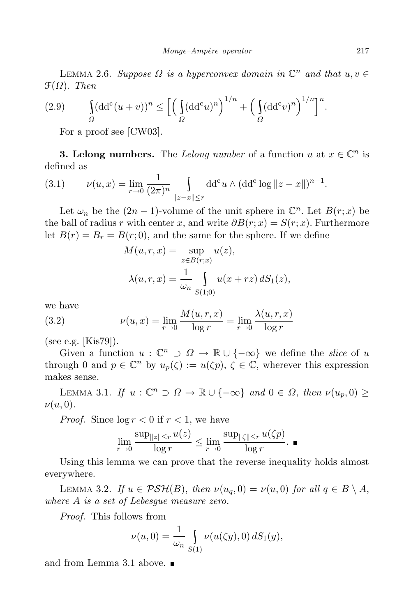LEMMA 2.6. *Suppose*  $\Omega$  *is a hyperconvex domain in*  $\mathbb{C}^n$  *and that*  $u, v \in \mathbb{C}$ F(*Ω*)*. Then*

(2.9) 
$$
\int_{\Omega} (\mathrm{dd}^c (u+v))^n \le \left[ \left( \int_{\Omega} (\mathrm{dd}^c u)^n \right)^{1/n} + \left( \int_{\Omega} (\mathrm{dd}^c v)^n \right)^{1/n} \right]^n.
$$

For a proof see [CW03].

**3. Lelong numbers.** The *Lelong number* of a function *u* at  $x \in \mathbb{C}^n$  is defined as

(3.1) 
$$
\nu(u, x) = \lim_{r \to 0} \frac{1}{(2\pi)^n} \int_{\|z - x\| \le r} dd^c u \wedge (dd^c \log \|z - x\|)^{n-1}.
$$

Let  $\omega_n$  be the  $(2n - 1)$ -volume of the unit sphere in  $\mathbb{C}^n$ . Let  $B(r; x)$  be the ball of radius *r* with center *x*, and write  $\partial B(r; x) = S(r; x)$ . Furthermore let  $B(r) = B_r = B(r, 0)$ , and the same for the sphere. If we define

$$
M(u,r,x) = \sup_{z \in B(r;x)} u(z),
$$
  

$$
\lambda(u,r,x) = \frac{1}{\omega_n} \int_{S(1;0)} u(x+rz) dS_1(z),
$$

we have

(3.2) 
$$
\nu(u, x) = \lim_{r \to 0} \frac{M(u, r, x)}{\log r} = \lim_{r \to 0} \frac{\lambda(u, r, x)}{\log r}
$$

(see e.g. [Kis79]).

Given a function  $u : \mathbb{C}^n \supset \Omega \to \mathbb{R} \cup \{-\infty\}$  we define the *slice* of *u* through 0 and  $p \in \mathbb{C}^n$  by  $u_p(\zeta) := u(\zeta p)$ ,  $\zeta \in \mathbb{C}$ , wherever this expression makes sense.

*LEMMA* 3.1. *If*  $u$  :  $\mathbb{C}^n \supset \Omega \to \mathbb{R} \cup \{-\infty\}$  *and*  $0 \in \Omega$ , *then ν*(*u<sub>p</sub>*, 0) ≥ *ν*(*u,* 0)*.*

*Proof.* Since  $\log r < 0$  if  $r < 1$ , we have

$$
\lim_{r \to 0} \frac{\sup_{\|z\| \le r} u(z)}{\log r} \le \lim_{r \to 0} \frac{\sup_{\|\zeta\| \le r} u(\zeta p)}{\log r}.
$$

Using this lemma we can prove that the reverse inequality holds almost everywhere.

LEMMA 3.2. *If*  $u \in \mathcal{PSH}(B)$ , then  $\nu(u_q, 0) = \nu(u, 0)$  for all  $q \in B \setminus A$ , *where A is a set of Lebesgue measure zero.*

*Proof.* This follows from

$$
\nu(u,0) = \frac{1}{\omega_n} \int_{S(1)} \nu(u(\zeta y), 0) \, dS_1(y),
$$

and from Lemma 3.1 above.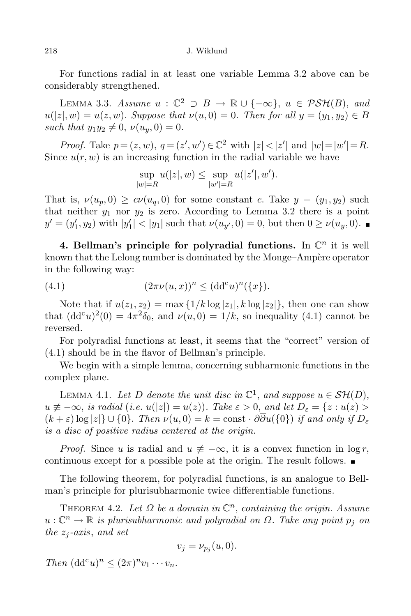For functions radial in at least one variable Lemma 3.2 above can be considerably strengthened.

LEMMA 3.3. *Assume*  $u$  :  $\mathbb{C}^2$  ⊃  $B \to \mathbb{R} \cup \{-\infty\}$ ,  $u \in \mathcal{PSH}(B)$ , and  $u(|z|, w) = u(z, w)$ . Suppose that  $v(u, 0) = 0$ . Then for all  $y = (y_1, y_2) \in B$ *such that*  $y_1 y_2 \neq 0$ ,  $\nu(u_y, 0) = 0$ .

*Proof.* Take  $p = (z, w), q = (z', w') \in \mathbb{C}^2$  with  $|z| < |z'|$  and  $|w| = |w'| = R$ . Since  $u(r, w)$  is an increasing function in the radial variable we have

$$
\sup_{|w|=R} u(|z|, w) \le \sup_{|w'|=R} u(|z'|, w').
$$

That is,  $\nu(u_p, 0) \geq c\nu(u_q, 0)$  for some constant *c*. Take  $y = (y_1, y_2)$  such that neither  $y_1$  nor  $y_2$  is zero. According to Lemma 3.2 there is a point  $y' = (y'_1, y_2)$  with  $|y'_1| < |y_1|$  such that  $\nu(u_{y'}, 0) = 0$ , but then  $0 \ge \nu(u_y, 0)$ .

**4. Bellman's principle for polyradial functions.** In C *n* it is well known that the Lelong number is dominated by the Monge–Ampère operator in the following way:

(4.1) 
$$
(2\pi\nu(u,x))^n \leq (dd^c u)^n (\{x\}).
$$

Note that if  $u(z_1, z_2) = \max\{1/k \log |z_1|, k \log |z_2|\}$ , then one can show that  $(dd^c u)^2(0) = 4\pi^2 \delta_0$ , and  $\nu(u,0) = 1/k$ , so inequality (4.1) cannot be reversed.

For polyradial functions at least, it seems that the "correct" version of (4.1) should be in the flavor of Bellman's principle.

We begin with a simple lemma, concerning subharmonic functions in the complex plane.

LEMMA 4.1. Let *D* denote the unit disc in  $\mathbb{C}^1$ , and suppose  $u \in \mathcal{SH}(D)$ ,  $u \neq -\infty$ , is radial (i.e.  $u(|z|) = u(z)$ ). Take  $\varepsilon > 0$ , and let  $D_{\varepsilon} = \{z : u(z) > 0\}$  $(k+\varepsilon)\log|z|\}\cup\{0\}$ . Then  $\nu(u,0)=k=\text{const}\cdot\partial\overline{\partial}u(\{0\})$  if and only if  $D_{\varepsilon}$ *is a disc of positive radius centered at the origin.*

*Proof.* Since *u* is radial and  $u \neq -\infty$ , it is a convex function in  $\log r$ , continuous except for a possible pole at the origin. The result follows.

The following theorem, for polyradial functions, is an analogue to Bellman's principle for plurisubharmonic twice differentiable functions.

THEOREM 4.2. Let  $\Omega$  be a domain in  $\mathbb{C}^n$ , containing the origin. Assume *u* : C *<sup>n</sup> <sup>→</sup>* <sup>R</sup> *is plurisubharmonic and polyradial on <sup>Ω</sup>. Take any point <sup>p</sup><sup>j</sup> on the*  $z_i$ -*axis*, *and set* 

$$
v_j = \nu_{p_j}(u,0).
$$

 $Then \ (dd^c u)^n \leq (2\pi)^n v_1 \cdots v_n.$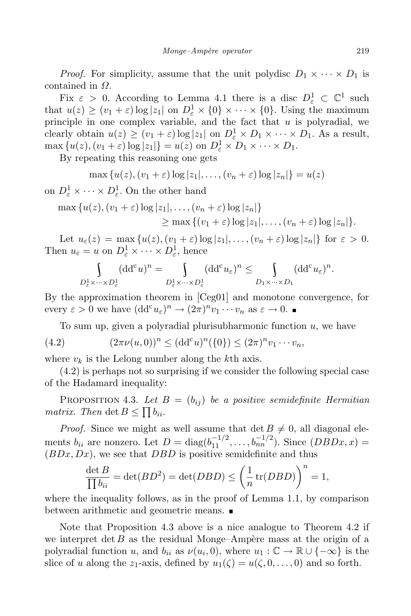*Proof.* For simplicity, assume that the unit polydisc  $D_1 \times \cdots \times D_1$  is contained in *Ω*.

Fix  $\varepsilon > 0$ . According to Lemma 4.1 there is a disc  $D_{\varepsilon}^1 \subset \mathbb{C}^1$  such that  $u(z) \ge (v_1 + \varepsilon) \log |z_1|$  on  $D^1_{\varepsilon} \times \{0\} \times \cdots \times \{0\}$ . Using the maximum principle in one complex variable, and the fact that *u* is polyradial, we clearly obtain  $u(z) \geq (v_1 + \varepsilon) \log |z_1|$  on  $D^1_{\varepsilon} \times D_1 \times \cdots \times D_1$ . As a result,  $\max \{u(z), (v_1 + \varepsilon) \log |z_1|\} = u(z) \text{ on } D^1_{\varepsilon} \times D_1 \times \cdots \times D_1.$ 

By repeating this reasoning one gets

$$
\max\left\{u(z), (v_1+\varepsilon)\log|z_1|, \ldots, (v_n+\varepsilon)\log|z_n|\right\}=u(z)
$$

on  $D^1_{\varepsilon} \times \cdots \times D^1_{\varepsilon}$ . On the other hand

$$
\max \{u(z), (v_1 + \varepsilon) \log |z_1|, \dots, (v_n + \varepsilon) \log |z_n|\}
$$
  
\n
$$
\geq \max \{(v_1 + \varepsilon) \log |z_1|, \dots, (v_n + \varepsilon) \log |z_n|\}.
$$

Let  $u_{\varepsilon}(z) = \max\{u(z), (v_1 + \varepsilon) \log |z_1|, \ldots, (v_n + \varepsilon) \log |z_n|\}\$  for  $\varepsilon > 0$ . Then  $u_{\varepsilon} = u$  on  $D_{\varepsilon}^1 \times \cdots \times D_{\varepsilon}^1$ , hence

$$
\int_{D_{\varepsilon}^1 \times \cdots \times D_{\varepsilon}^1} (\mathrm{d} \mathrm{d}^c u)^n = \int_{D_{\varepsilon}^1 \times \cdots \times D_{\varepsilon}^1} (\mathrm{d} \mathrm{d}^c u_{\varepsilon})^n \leq \int_{D_1 \times \cdots \times D_1} (\mathrm{d} \mathrm{d}^c u_{\varepsilon})^n.
$$

By the approximation theorem in [Ceg01] and monotone convergence, for every  $\varepsilon > 0$  we have  $(dd^c u_{\varepsilon})^n \to (2\pi)^n v_1 \cdots v_n$  as  $\varepsilon \to 0$ .

To sum up, given a polyradial plurisubharmonic function *u,* we have

(4.2) 
$$
(2\pi\nu(u,0))^n \leq (\mathrm{dd}^c u)^n (\{0\}) \leq (2\pi)^n v_1 \cdots v_n,
$$

where  $v_k$  is the Lelong number along the  $k$ <sup>th</sup> axis.

(4.2) is perhaps not so surprising if we consider the following special case of the Hadamard inequality:

PROPOSITION 4.3. Let  $B = (b_{ij})$  be a positive semidefinite Hermitian *matrix. Then* det  $B \le \prod b_{ii}$ *.* 

*Proof.* Since we might as well assume that  $\det B \neq 0$ , all diagonal elements  $b_{ii}$  are nonzero. Let  $D = \text{diag}(b_{11}^{-1/2}, \ldots, b_{nn}^{-1/2})$ . Since  $(DBDx, x) =$ (*BDx, Dx*)*,* we see that *DBD* is positive semidefinite and thus

$$
\frac{\det B}{\prod b_{ii}} = \det(BD^2) = \det(DBD) \le \left(\frac{1}{n}\operatorname{tr}(DBD)\right)^n = 1,
$$

where the inequality follows, as in the proof of Lemma 1.1, by comparison between arithmetic and geometric means.

Note that Proposition 4.3 above is a nice analogue to Theorem 4.2 if we interpret det  $B$  as the residual Monge–Ampère mass at the origin of a polyradial function *u*, and  $b_{ii}$  as  $\nu(u_i, 0)$ , where  $u_1 : \mathbb{C} \to \mathbb{R} \cup \{-\infty\}$  is the slice of *u* along the *z*<sub>1</sub>-axis, defined by  $u_1(\zeta) = u(\zeta, 0, \ldots, 0)$  and so forth.